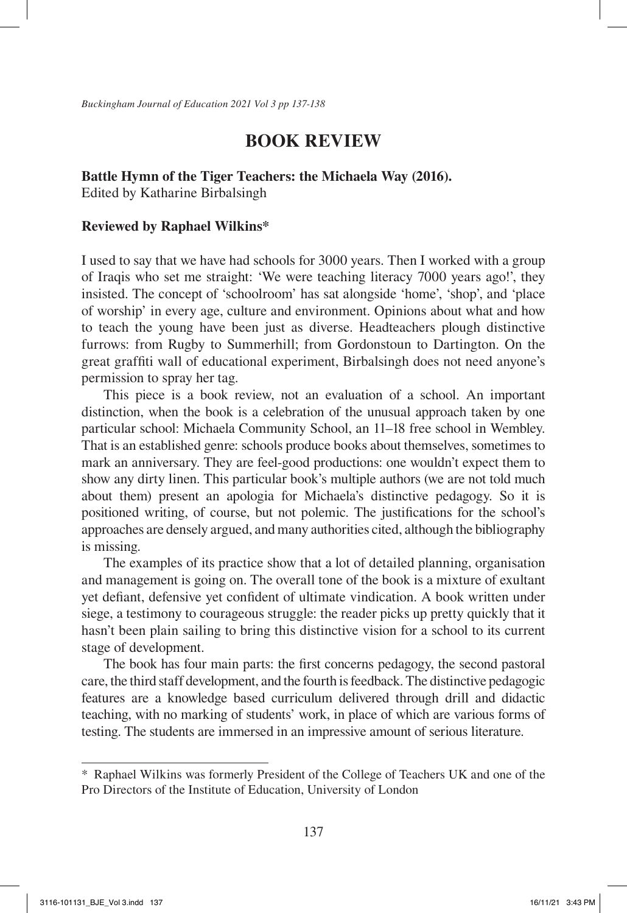*Buckingham Journal of Education 2021 Vol 3 pp 137-138*

## **BOOK REVIEW**

## **Battle Hymn of the Tiger Teachers: the Michaela Way (2016).**

Edited by Katharine Birbalsingh

## **Reviewed by Raphael Wilkins\***

I used to say that we have had schools for 3000 years. Then I worked with a group of Iraqis who set me straight: 'We were teaching literacy 7000 years ago!', they insisted. The concept of 'schoolroom' has sat alongside 'home', 'shop', and 'place of worship' in every age, culture and environment. Opinions about what and how to teach the young have been just as diverse. Headteachers plough distinctive furrows: from Rugby to Summerhill; from Gordonstoun to Dartington. On the great graffiti wall of educational experiment, Birbalsingh does not need anyone's permission to spray her tag.

This piece is a book review, not an evaluation of a school. An important distinction, when the book is a celebration of the unusual approach taken by one particular school: Michaela Community School, an 11–18 free school in Wembley. That is an established genre: schools produce books about themselves, sometimes to mark an anniversary. They are feel-good productions: one wouldn't expect them to show any dirty linen. This particular book's multiple authors (we are not told much about them) present an apologia for Michaela's distinctive pedagogy. So it is positioned writing, of course, but not polemic. The justifications for the school's approaches are densely argued, and many authorities cited, although the bibliography is missing.

The examples of its practice show that a lot of detailed planning, organisation and management is going on. The overall tone of the book is a mixture of exultant yet defiant, defensive yet confident of ultimate vindication. A book written under siege, a testimony to courageous struggle: the reader picks up pretty quickly that it hasn't been plain sailing to bring this distinctive vision for a school to its current stage of development.

The book has four main parts: the first concerns pedagogy, the second pastoral care, the third staff development, and the fourth is feedback. The distinctive pedagogic features are a knowledge based curriculum delivered through drill and didactic teaching, with no marking of students' work, in place of which are various forms of testing. The students are immersed in an impressive amount of serious literature.

<sup>\*</sup> Raphael Wilkins was formerly President of the College of Teachers UK and one of the Pro Directors of the Institute of Education, University of London